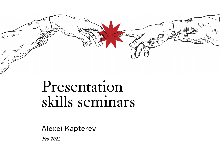

## Presentation skills seminars

Alexei Kapterev

*Feb 2022*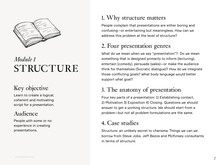

## *Module 1* STRUCTURE

#### Key objective

Learn to create a logical, coherent and motivating script for a presentation.

#### Audience

People with some or no experience in creating presentations.

#### 1. Why structure matters

People complain that presentations are either boring and confusing—or entertaining but meaningless. How can we address this problem at the level of structure?

#### 2. Four presentation genres

What do we mean when we say "presentation"? Do we mean something that is designed primarily to inform (lecturing), entertain (comedy), persuade (sales)—or make the audience think for themselves (Socratic dialogue)? How do we integrate those conflicting goals? What body language would better support what goal?

#### 3. The anatomy of presentation

Four key parts of a presentation: 1) Establishing contact, 2) Motivation 3) Exposition 4) Closing. Questions we should answer to get a working structure. We should start from a problem—but not all problem formulations are the same.

#### 4. Case studies

Structure: an unlikely secret to charisma. Things we can we borrow from Steve Jobs, Jeff Bezos and McKinsey consultants in terms of structure.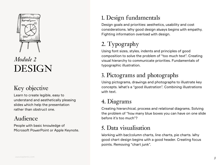

## *Module 2* DESIGN

#### Key objective

Learn to create legible, easy to understand and aesthetically pleasing slides which help the presentation rather than obstruct one.

#### Audience

People with basic knowledge of Microsoft PowerPoint or Apple Keynote.

#### 1. Design fundamentals

Design goals and priorities: aesthetics, usability and cost considerations. Why good design always begins with empathy. Fighting information overload with design.

### 2. Typography

Using font sizes, styles, indents and principles of good composition to solve the problem of "too much text". Creating visual hierarchy to communicate priorities. Fundamentals of typographic illustration.

#### 3. Pictograms and photographs

Using pictograms, drawings and photographs to illustrate key concepts. What's a "good illustration". Combining illustrations with text.

#### 4. Diagrams

Creating hierarchical, process and relational diagrams. Solving the problem of "how many blue boxes you can have on one slide before it's too much"?

#### 5. Data visualisation

Working with bar/column charts, line charts, pie charts. Why good chart design begins with a good header. Creating focus points. Removing "chart junk".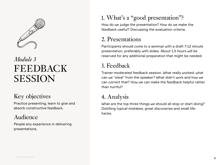

## *Module 3* FEEDBACK **SESSION**

#### Key objectives

Practice presenting, learn to give and absorb constructive feedback.

#### Audience

People any experience in delivering presentations.

#### 1. What's a "good presentation"?

How do we judge the presentation? How do we make the feedback useful? Discussing the evaluation criteria.

#### 2. Presentations

Participants should come to a seminar with a draft 7-12 minute presentation, preferably with slides. About 1.5 hours will be reserved for any additional preparation that might be needed.

#### 3. Feedback

Trainer-moderated feedback session. What really worked, what can we "steal" from the speaker? What didn't work and how we can correct that? How we can make the feedback helpful rather than hurtful?

#### 4. Analysis

What are the top three things we should all stop or start doing? Distilling typical mistakes, great discoveries and small lifehacks.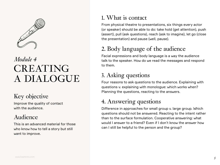

## *Module 4* CREATING A DIALOGUE

#### Key objective

Improve the quality of contact with the audience.

#### Audience

This is an advanced material for those who know how to tell a story but still want to improve.

#### 1. What is contact

From physical theatre to presentations, six things every actor (or speaker) should be able to do: take hold (get attention), push (assert), pull (ask questions), reach (ask to imagine), let go (close the presentation) and pause (well, pause).

#### 2. Body language of the audience

Facial expressions and body language is a way the audience talk to the speaker. How do we read the messages and respond to them.

#### 3. Asking questions

Four reasons to ask questions to the audience. Explaining with questions v. explaining with monologue: which works when? Planning the questions, reacting to the answers.

#### 4. Answering questions

Difference in approaches for small group v. large group. Which questions should not be answered. Reacting to the intent rather than to the surface formulation. Cooperative answering: what would I answer to a friend? Even if I don't know the answer how can I still be helpful to the person and the group?